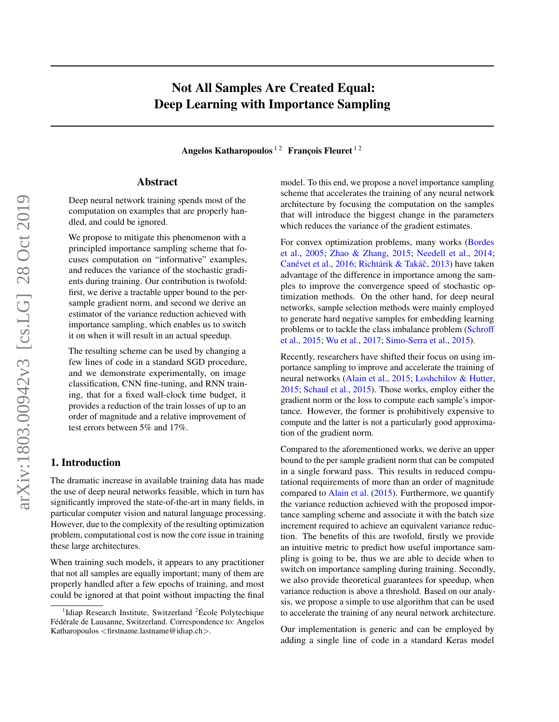# Not All Samples Are Created Equal: Deep Learning with Importance Sampling

Angelos Katharopoulos<sup>12</sup> François Fleuret<sup>12</sup>

# Abstract

Deep neural network training spends most of the computation on examples that are properly handled, and could be ignored.

We propose to mitigate this phenomenon with a principled importance sampling scheme that focuses computation on "informative" examples, and reduces the variance of the stochastic gradients during training. Our contribution is twofold: first, we derive a tractable upper bound to the persample gradient norm, and second we derive an estimator of the variance reduction achieved with importance sampling, which enables us to switch it on when it will result in an actual speedup.

The resulting scheme can be used by changing a few lines of code in a standard SGD procedure, and we demonstrate experimentally, on image classification, CNN fine-tuning, and RNN training, that for a fixed wall-clock time budget, it provides a reduction of the train losses of up to an order of magnitude and a relative improvement of test errors between 5% and 17%.

# 1. Introduction

The dramatic increase in available training data has made the use of deep neural networks feasible, which in turn has significantly improved the state-of-the-art in many fields, in particular computer vision and natural language processing. However, due to the complexity of the resulting optimization problem, computational cost is now the core issue in training these large architectures.

When training such models, it appears to any practitioner that not all samples are equally important; many of them are properly handled after a few epochs of training, and most could be ignored at that point without impacting the final model. To this end, we propose a novel importance sampling scheme that accelerates the training of any neural network architecture by focusing the computation on the samples that will introduce the biggest change in the parameters which reduces the variance of the gradient estimates.

For convex optimization problems, many works [\(Bordes](#page-8-0) [et al.,](#page-8-0) [2005;](#page-8-0) [Zhao & Zhang,](#page-9-0) [2015;](#page-9-0) [Needell et al.,](#page-8-1) [2014;](#page-8-1) Canévet et al., [2016;](#page-8-2) Richtárik & Takáč, [2013\)](#page-8-3) have taken advantage of the difference in importance among the samples to improve the convergence speed of stochastic optimization methods. On the other hand, for deep neural networks, sample selection methods were mainly employed to generate hard negative samples for embedding learning problems or to tackle the class imbalance problem [\(Schroff](#page-9-1) [et al.,](#page-9-1) [2015;](#page-9-1) [Wu et al.,](#page-9-2) [2017;](#page-9-2) [Simo-Serra et al.,](#page-9-3) [2015\)](#page-9-3).

Recently, researchers have shifted their focus on using importance sampling to improve and accelerate the training of neural networks [\(Alain et al.,](#page-8-4) [2015;](#page-8-4) [Loshchilov & Hutter,](#page-8-5) [2015;](#page-8-5) [Schaul et al.,](#page-9-4) [2015\)](#page-9-4). Those works, employ either the gradient norm or the loss to compute each sample's importance. However, the former is prohibitively expensive to compute and the latter is not a particularly good approximation of the gradient norm.

Compared to the aforementioned works, we derive an upper bound to the per sample gradient norm that can be computed in a single forward pass. This results in reduced computational requirements of more than an order of magnitude compared to [Alain et al.](#page-8-4) [\(2015\)](#page-8-4). Furthermore, we quantify the variance reduction achieved with the proposed importance sampling scheme and associate it with the batch size increment required to achieve an equivalent variance reduction. The benefits of this are twofold, firstly we provide an intuitive metric to predict how useful importance sampling is going to be, thus we are able to decide when to switch on importance sampling during training. Secondly, we also provide theoretical guarantees for speedup, when variance reduction is above a threshold. Based on our analysis, we propose a simple to use algorithm that can be used to accelerate the training of any neural network architecture.

Our implementation is generic and can be employed by adding a single line of code in a standard Keras model

<sup>&</sup>lt;sup>1</sup>Idiap Research Institute, Switzerland  ${}^{2}$ École Polytechique Fédérale de Lausanne, Switzerland. Correspondence to: Angelos Katharopoulos <firstname.lastname@idiap.ch>.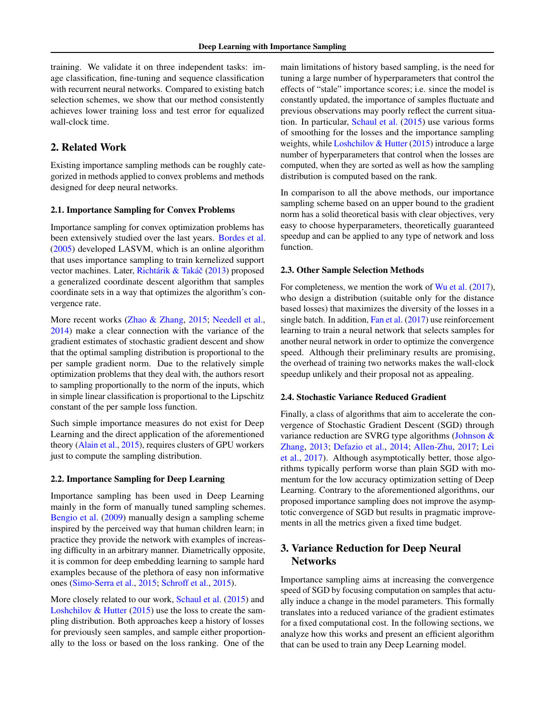training. We validate it on three independent tasks: image classification, fine-tuning and sequence classification with recurrent neural networks. Compared to existing batch selection schemes, we show that our method consistently achieves lower training loss and test error for equalized wall-clock time.

# 2. Related Work

Existing importance sampling methods can be roughly categorized in methods applied to convex problems and methods designed for deep neural networks.

# 2.1. Importance Sampling for Convex Problems

Importance sampling for convex optimization problems has been extensively studied over the last years. [Bordes et al.](#page-8-0) [\(2005\)](#page-8-0) developed LASVM, which is an online algorithm that uses importance sampling to train kernelized support vector machines. Later, Richtárik & Takáč [\(2013\)](#page-8-3) proposed a generalized coordinate descent algorithm that samples coordinate sets in a way that optimizes the algorithm's convergence rate.

More recent works [\(Zhao & Zhang,](#page-9-0) [2015;](#page-9-0) [Needell et al.,](#page-8-1) [2014\)](#page-8-1) make a clear connection with the variance of the gradient estimates of stochastic gradient descent and show that the optimal sampling distribution is proportional to the per sample gradient norm. Due to the relatively simple optimization problems that they deal with, the authors resort to sampling proportionally to the norm of the inputs, which in simple linear classification is proportional to the Lipschitz constant of the per sample loss function.

Such simple importance measures do not exist for Deep Learning and the direct application of the aforementioned theory [\(Alain et al.,](#page-8-4) [2015\)](#page-8-4), requires clusters of GPU workers just to compute the sampling distribution.

#### 2.2. Importance Sampling for Deep Learning

Importance sampling has been used in Deep Learning mainly in the form of manually tuned sampling schemes. [Bengio et al.](#page-8-6) [\(2009\)](#page-8-6) manually design a sampling scheme inspired by the perceived way that human children learn; in practice they provide the network with examples of increasing difficulty in an arbitrary manner. Diametrically opposite, it is common for deep embedding learning to sample hard examples because of the plethora of easy non informative ones [\(Simo-Serra et al.,](#page-9-3) [2015;](#page-9-3) [Schroff et al.,](#page-9-1) [2015\)](#page-9-1).

More closely related to our work, [Schaul et al.](#page-9-4) [\(2015\)](#page-9-4) and Loshchilov  $& Hutter (2015)$  $& Hutter (2015)$  use the loss to create the sampling distribution. Both approaches keep a history of losses for previously seen samples, and sample either proportionally to the loss or based on the loss ranking. One of the

main limitations of history based sampling, is the need for tuning a large number of hyperparameters that control the effects of "stale" importance scores; i.e. since the model is constantly updated, the importance of samples fluctuate and previous observations may poorly reflect the current situation. In particular, [Schaul et al.](#page-9-4) [\(2015\)](#page-9-4) use various forms of smoothing for the losses and the importance sampling weights, while Loshchilov  $& Hutter(2015)$  $& Hutter(2015)$  introduce a large number of hyperparameters that control when the losses are computed, when they are sorted as well as how the sampling distribution is computed based on the rank.

In comparison to all the above methods, our importance sampling scheme based on an upper bound to the gradient norm has a solid theoretical basis with clear objectives, very easy to choose hyperparameters, theoretically guaranteed speedup and can be applied to any type of network and loss function.

#### 2.3. Other Sample Selection Methods

For completeness, we mention the work of [Wu et al.](#page-9-2) [\(2017\)](#page-9-2), who design a distribution (suitable only for the distance based losses) that maximizes the diversity of the losses in a single batch. In addition, [Fan et al.](#page-8-7) [\(2017\)](#page-8-7) use reinforcement learning to train a neural network that selects samples for another neural network in order to optimize the convergence speed. Although their preliminary results are promising, the overhead of training two networks makes the wall-clock speedup unlikely and their proposal not as appealing.

#### 2.4. Stochastic Variance Reduced Gradient

Finally, a class of algorithms that aim to accelerate the convergence of Stochastic Gradient Descent (SGD) through variance reduction are SVRG type algorithms [\(Johnson &](#page-8-8) [Zhang,](#page-8-8) [2013;](#page-8-8) [Defazio et al.,](#page-8-9) [2014;](#page-8-9) [Allen-Zhu,](#page-8-10) [2017;](#page-8-10) [Lei](#page-8-11) [et al.,](#page-8-11) [2017\)](#page-8-11). Although asymptotically better, those algorithms typically perform worse than plain SGD with momentum for the low accuracy optimization setting of Deep Learning. Contrary to the aforementioned algorithms, our proposed importance sampling does not improve the asymptotic convergence of SGD but results in pragmatic improvements in all the metrics given a fixed time budget.

# 3. Variance Reduction for Deep Neural **Networks**

Importance sampling aims at increasing the convergence speed of SGD by focusing computation on samples that actually induce a change in the model parameters. This formally translates into a reduced variance of the gradient estimates for a fixed computational cost. In the following sections, we analyze how this works and present an efficient algorithm that can be used to train any Deep Learning model.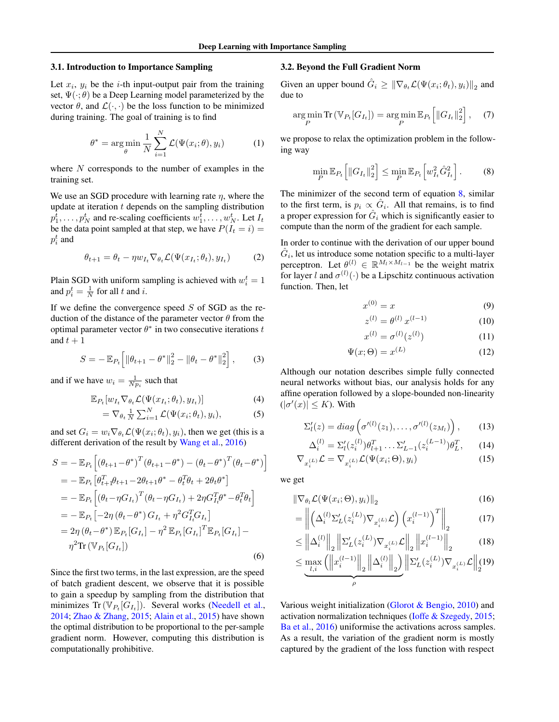#### 3.1. Introduction to Importance Sampling

Let  $x_i$ ,  $y_i$  be the *i*-th input-output pair from the training set,  $\Psi(\cdot; \theta)$  be a Deep Learning model parameterized by the vector  $\theta$ , and  $\mathcal{L}(\cdot, \cdot)$  be the loss function to be minimized during training. The goal of training is to find

$$
\theta^* = \underset{\theta}{\arg\min} \frac{1}{N} \sum_{i=1}^N \mathcal{L}(\Psi(x_i; \theta), y_i)
$$
 (1)

where  $N$  corresponds to the number of examples in the training set.

We use an SGD procedure with learning rate  $\eta$ , where the update at iteration  $t$  depends on the sampling distribution  $p_1^t, \ldots, p_N^t$  and re-scaling coefficients  $w_1^t, \ldots, w_N^t$ . Let  $I_t$ be the data point sampled at that step, we have  $P(I_t = i)$  =  $p_i^t$  and

$$
\theta_{t+1} = \theta_t - \eta w_{I_t} \nabla_{\theta_t} \mathcal{L}(\Psi(x_{I_t}; \theta_t), y_{I_t}) \tag{2}
$$

Plain SGD with uniform sampling is achieved with  $w_i^t = 1$ and  $p_i^t = \frac{1}{N}$  for all t and i.

If we define the convergence speed  $S$  of SGD as the reduction of the distance of the parameter vector  $\theta$  from the optimal parameter vector  $\theta^*$  in two consecutive iterations t and  $t + 1$ 

$$
S = -\mathbb{E}_{P_t} \left[ \|\theta_{t+1} - \theta^*\|_2^2 - \|\theta_t - \theta^*\|_2^2 \right],\qquad(3)
$$

and if we have  $w_i = \frac{1}{N p_i}$  such that

$$
\mathbb{E}_{P_t}[w_{I_t}\nabla_{\theta_t}\mathcal{L}(\Psi(x_{I_t};\theta_t),y_{I_t})] \tag{4}
$$

$$
= \nabla_{\theta_t} \frac{1}{N} \sum_{i=1}^N \mathcal{L}(\Psi(x_i; \theta_t), y_i), \tag{5}
$$

and set  $G_i = w_i \nabla_{\theta_t} \mathcal{L}(\Psi(x_i; \theta_t), y_i)$ , then we get (this is a different derivation of the result by [Wang et al.,](#page-9-5) [2016\)](#page-9-5)

$$
S = -\mathbb{E}_{P_t} \left[ (\theta_{t+1} - \theta^*)^T (\theta_{t+1} - \theta^*) - (\theta_t - \theta^*)^T (\theta_t - \theta^*) \right]
$$
  
\n
$$
= -\mathbb{E}_{P_t} \left[ \theta_{t+1}^T \theta_{t+1} - 2\theta_{t+1} \theta^* - \theta_t^T \theta_t + 2\theta_t \theta^* \right]
$$
  
\n
$$
= -\mathbb{E}_{P_t} \left[ (\theta_t - \eta G_{I_t})^T (\theta_t - \eta G_{I_t}) + 2\eta G_{I_t}^T \theta^* - \theta_t^T \theta_t \right]
$$
  
\n
$$
= -\mathbb{E}_{P_t} \left[ -2\eta (\theta_t - \theta^*) G_{I_t} + \eta^2 G_{I_t}^T G_{I_t} \right]
$$
  
\n
$$
= 2\eta (\theta_t - \theta^*) \mathbb{E}_{P_t} [G_{I_t}] - \eta^2 \mathbb{E}_{P_t} [G_{I_t}]^T \mathbb{E}_{P_t} [G_{I_t}] - \eta^2 \text{Tr} (\mathbb{V}_{P_t} [G_{I_t}]) \tag{6}
$$

Since the first two terms, in the last expression, are the speed of batch gradient descent, we observe that it is possible to gain a speedup by sampling from the distribution that minimizes  $\text{Tr}(\mathbb{V}_{P_t}[G_{I_t}])$ . Several works [\(Needell et al.,](#page-8-1) [2014;](#page-8-1) [Zhao & Zhang,](#page-9-0) [2015;](#page-9-0) [Alain et al.,](#page-8-4) [2015\)](#page-8-4) have shown the optimal distribution to be proportional to the per-sample gradient norm. However, computing this distribution is computationally prohibitive.

#### 3.2. Beyond the Full Gradient Norm

Given an upper bound  $\hat{G}_i \geq \|\nabla_{\theta_t} \mathcal{L}(\Psi(x_i; \theta_t), y_i)\|_2$  and due to

$$
\underset{P}{\arg\min} \operatorname{Tr} \left( \mathbb{V}_{P_t}[G_{I_t}] \right) = \underset{P}{\arg\min} \mathbb{E}_{P_t} \left[ \left\| G_{I_t} \right\|_2^2 \right], \quad (7)
$$

we propose to relax the optimization problem in the following way

<span id="page-2-0"></span>
$$
\min_{P} \mathbb{E}_{P_t} \left[ \|G_{I_t}\|_2^2 \right] \le \min_{P} \mathbb{E}_{P_t} \left[ w_{I_t}^2 \hat{G}_{I_t}^2 \right]. \tag{8}
$$

The minimizer of the second term of equation  $8$ , similar to the first term, is  $p_i \propto \hat{G}_i$ . All that remains, is to find a proper expression for  $\hat{G}_i$  which is significantly easier to compute than the norm of the gradient for each sample.

In order to continue with the derivation of our upper bound  $\hat{G}_i$ , let us introduce some notation specific to a multi-layer perceptron. Let  $\theta^{(l)} \in \mathbb{R}^{M_l \times M_{l-1}}$  be the weight matrix for layer l and  $\sigma^{(l)}(\cdot)$  be a Lipschitz continuous activation function. Then, let

$$
x^{(0)} = x \tag{9}
$$

$$
z^{(l)} = \theta^{(l)} \, x^{(l-1)} \tag{10}
$$

$$
x^{(l)} = \sigma^{(l)}(z^{(l)})
$$
 (11)

$$
\Psi(x;\Theta) = x^{(L)}\tag{12}
$$

Although our notation describes simple fully connected neural networks without bias, our analysis holds for any affine operation followed by a slope-bounded non-linearity  $(|\sigma'(x)| \leq K)$ . With

$$
\Sigma_l'(z) = diag\left(\sigma'^{(l)}(z_1), \ldots, \sigma'^{(l)}(z_{M_l})\right), \qquad (13)
$$

$$
\Delta_i^{(l)} = \Sigma_l'(z_i^{(l)})\theta_{l+1}^T \dots \Sigma_{L-1}'(z_i^{(L-1)})\theta_L^T, \qquad (14)
$$

$$
\nabla_{x_i^{(L)}} \mathcal{L} = \nabla_{x_i^{(L)}} \mathcal{L}(\Psi(x_i; \Theta), y_i)
$$
\n(15)

we get

$$
\|\nabla_{\theta_i} \mathcal{L}(\Psi(x_i; \Theta), y_i)\|_2 \tag{16}
$$

$$
= \left\| \left( \Delta_i^{(l)} \Sigma_L' (z_i^{(L)}) \nabla_{x_i^{(L)}} \mathcal{L} \right) \left( x_i^{(l-1)} \right)^T \right\|_2 \tag{17}
$$

$$
\leq \left\| \Delta_i^{(l)} \right\|_2 \left\| \Sigma_L'(z_i^{(L)}) \nabla_{x_i^{(L)}} \mathcal{L} \right\|_2 \left\| x_i^{(l-1)} \right\|_2 \tag{18}
$$

$$
\leq \underbrace{\max_{l,i} \left( \left\| x_i^{(l-1)} \right\|_2 \left\| \Delta_i^{(l)} \right\|_2 \right)}_{\rho} \left\| \Sigma_L'(z_i^{(L)}) \nabla_{x_i^{(L)}} \mathcal{L} \right\|_2 (19)
$$

Various weight initialization [\(Glorot & Bengio,](#page-8-12) [2010\)](#page-8-12) and activation normalization techniques [\(Ioffe & Szegedy,](#page-8-13) [2015;](#page-8-13) [Ba et al.,](#page-8-14) [2016\)](#page-8-14) uniformise the activations across samples. As a result, the variation of the gradient norm is mostly captured by the gradient of the loss function with respect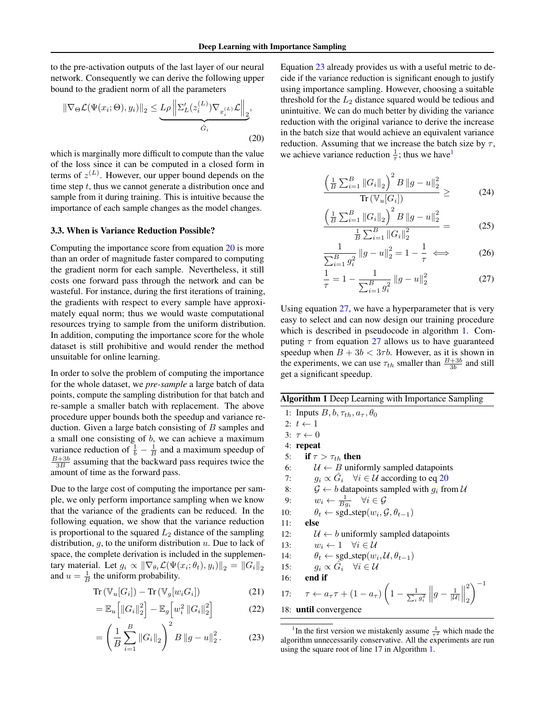to the pre-activation outputs of the last layer of our neural network. Consequently we can derive the following upper bound to the gradient norm of all the parameters

$$
\|\nabla_{\Theta}\mathcal{L}(\Psi(x_i;\Theta), y_i)\|_2 \leq \underbrace{L\rho \left\|\Sigma_L'(z_i^{(L)})\nabla_{x_i^{(L)}}\mathcal{L}\right\|_2}_{\hat{G}_i},
$$
\n(20)

which is marginally more difficult to compute than the value of the loss since it can be computed in a closed form in terms of  $z^{(L)}$ . However, our upper bound depends on the time step  $t$ , thus we cannot generate a distribution once and sample from it during training. This is intuitive because the importance of each sample changes as the model changes.

#### <span id="page-3-5"></span>3.3. When is Variance Reduction Possible?

Computing the importance score from equation [20](#page-3-0) is more than an order of magnitude faster compared to computing the gradient norm for each sample. Nevertheless, it still costs one forward pass through the network and can be wasteful. For instance, during the first iterations of training, the gradients with respect to every sample have approximately equal norm; thus we would waste computational resources trying to sample from the uniform distribution. In addition, computing the importance score for the whole dataset is still prohibitive and would render the method unsuitable for online learning.

In order to solve the problem of computing the importance for the whole dataset, we *pre-sample* a large batch of data points, compute the sampling distribution for that batch and re-sample a smaller batch with replacement. The above procedure upper bounds both the speedup and variance reduction. Given a large batch consisting of  $B$  samples and a small one consisting of  $b$ , we can achieve a maximum variance reduction of  $\frac{1}{b} - \frac{1}{B}$  and a maximum speedup of  $\frac{B+3b}{3B}$  assuming that the backward pass requires twice the amount of time as the forward pass.

Due to the large cost of computing the importance per sample, we only perform importance sampling when we know that the variance of the gradients can be reduced. In the following equation, we show that the variance reduction is proportional to the squared  $L_2$  distance of the sampling distribution,  $q$ , to the uniform distribution  $u$ . Due to lack of space, the complete derivation is included in the supplementary material. Let  $g_i \propto \|\nabla_{\theta_t} \mathcal{L}(\Psi(x_i; \theta_t), y_i)\|_2 = \|G_i\|_2$ and  $u = \frac{1}{B}$  the uniform probability.

$$
Tr\left(\mathbb{V}_u[G_i]\right) - Tr\left(\mathbb{V}_g[w_i G_i]\right) \tag{21}
$$

$$
= \mathbb{E}_{u} \left[ \left\| G_{i} \right\|_{2}^{2} \right] - \mathbb{E}_{g} \left[ w_{i}^{2} \left\| G_{i} \right\|_{2}^{2} \right]
$$
 (22)

$$
= \left(\frac{1}{B}\sum_{i=1}^{B} \|G_i\|_2\right)^2 B \|g - u\|_2^2.
$$
 (23)

<span id="page-3-0"></span>Equation [23](#page-3-1) already provides us with a useful metric to decide if the variance reduction is significant enough to justify using importance sampling. However, choosing a suitable threshold for the  $L_2$  distance squared would be tedious and unintuitive. We can do much better by dividing the variance reduction with the original variance to derive the increase in the batch size that would achieve an equivalent variance reduction. Assuming that we increase the batch size by  $\tau$ , we achieve variance reduction  $\frac{1}{\tau}$  $\frac{1}{\tau}$  $\frac{1}{\tau}$ ; thus we have<sup>1</sup>

$$
\frac{\left(\frac{1}{B}\sum_{i=1}^{B}||G_{i}||_{2}\right)^{2}B||g-u||_{2}^{2}}{\text{Tr}\left(\mathbb{V}_{u}[G_{i}]\right)} \geq (24)
$$

$$
\frac{\left(\frac{1}{B}\sum_{i=1}^{B}||G_{i}||_{2}\right)^{2}B||g-u||_{2}^{2}}{\frac{1}{B}\sum_{i=1}^{B}||G_{i}||_{2}^{2}} = (25)
$$

$$
\frac{1}{\sum_{i=1}^{B} g_i^2} \|g - u\|_2^2 = 1 - \frac{1}{\tau} \iff (26)
$$

<span id="page-3-3"></span>
$$
\frac{1}{\tau} = 1 - \frac{1}{\sum_{i=1}^{B} g_i^2} \|g - u\|_2^2 \tag{27}
$$

Using equation [27,](#page-3-3) we have a hyperparameter that is very easy to select and can now design our training procedure which is described in pseudocode in algorithm [1.](#page-3-4) Computing  $\tau$  from equation [27](#page-3-3) allows us to have guaranteed speedup when  $B + 3b < 3\tau b$ . However, as it is shown in the experiments, we can use  $\tau_{th}$  smaller than  $\frac{B+3b}{3b}$  and still get a significant speedup.

<span id="page-3-4"></span>

| <b>Algorithm 1</b> Deep Learning with Importance Sampling                                                                                           |
|-----------------------------------------------------------------------------------------------------------------------------------------------------|
| 1: Inputs $B, b, \tau_{th}, a_{\tau}, \theta_0$                                                                                                     |
| 2: $t \leftarrow 1$                                                                                                                                 |
| $3: \tau \leftarrow 0$                                                                                                                              |
| 4: repeat                                                                                                                                           |
| if $\tau > \tau_{th}$ then<br>5:                                                                                                                    |
| $\mathcal{U} \leftarrow B$ uniformly sampled datapoints<br>6:                                                                                       |
| $g_i \propto \hat{G}_i$ $\forall i \in \mathcal{U}$ according to eq 20<br>7:                                                                        |
| $\mathcal{G} \leftarrow b$ datapoints sampled with $g_i$ from U<br>8:                                                                               |
| $w_i \leftarrow \frac{1}{B a_i} \quad \forall i \in \mathcal{G}$<br>9:                                                                              |
| $\theta_t \leftarrow \text{sgd\_step}(w_i, \mathcal{G}, \theta_{t-1})$<br>10:                                                                       |
| else<br>11:                                                                                                                                         |
| $\mathcal{U} \leftarrow b$ uniformly sampled datapoints<br>12:                                                                                      |
| $w_i \leftarrow 1 \quad \forall i \in \mathcal{U}$<br>13:                                                                                           |
| $\theta_t \leftarrow \text{sgd\_step}(w_i, \mathcal{U}, \theta_{t-1})$<br>14:                                                                       |
| $g_i \propto \hat{G}_i \quad \forall i \in \mathcal{U}$<br>15:                                                                                      |
| end if<br>16:                                                                                                                                       |
| $\tau \leftarrow a_{\tau} \tau + (1 - a_{\tau}) \left(1 - \frac{1}{\sum_i g_i^2} \left\ g - \frac{1}{ \mathcal{U} }\right\ _2^2\right)^{-1}$<br>17: |
| 18: until convergence                                                                                                                               |
|                                                                                                                                                     |

<span id="page-3-2"></span><span id="page-3-1"></span><sup>&</sup>lt;sup>1</sup>In the first version we mistakenly assume  $\frac{1}{\tau^2}$  which made the algorithm unnecessarily conservative. All the experiments are run using the square root of line 17 in Algorithm [1.](#page-3-4)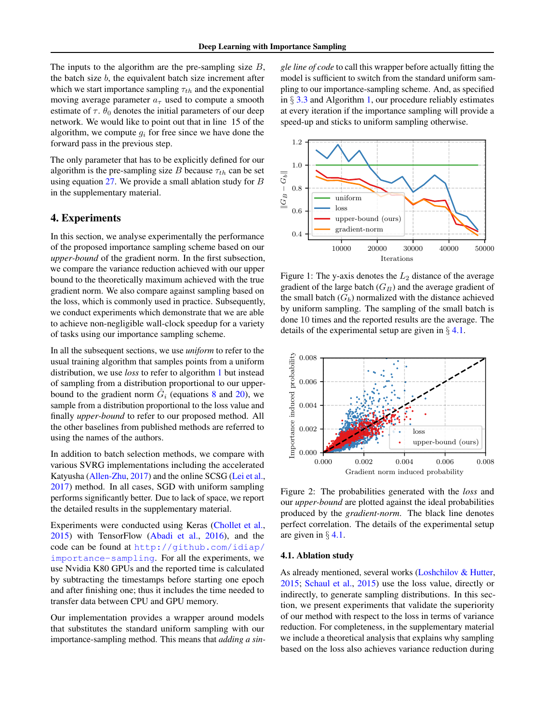The inputs to the algorithm are the pre-sampling size  $B$ , the batch size  $b$ , the equivalent batch size increment after which we start importance sampling  $\tau_{th}$  and the exponential moving average parameter  $a_{\tau}$  used to compute a smooth estimate of  $\tau$ .  $\theta_0$  denotes the initial parameters of our deep network. We would like to point out that in line 15 of the algorithm, we compute  $q_i$  for free since we have done the forward pass in the previous step.

The only parameter that has to be explicitly defined for our algorithm is the pre-sampling size B because  $\tau_{th}$  can be set using equation  $27$ . We provide a small ablation study for  $B$ in the supplementary material.

# 4. Experiments

In this section, we analyse experimentally the performance of the proposed importance sampling scheme based on our *upper-bound* of the gradient norm. In the first subsection, we compare the variance reduction achieved with our upper bound to the theoretically maximum achieved with the true gradient norm. We also compare against sampling based on the loss, which is commonly used in practice. Subsequently, we conduct experiments which demonstrate that we are able to achieve non-negligible wall-clock speedup for a variety of tasks using our importance sampling scheme.

In all the subsequent sections, we use *uniform* to refer to the usual training algorithm that samples points from a uniform distribution, we use *loss* to refer to algorithm [1](#page-3-4) but instead of sampling from a distribution proportional to our upperbound to the gradient norm  $\hat{G}_i$  (equations [8](#page-2-0) and [20\)](#page-3-0), we sample from a distribution proportional to the loss value and finally *upper-bound* to refer to our proposed method. All the other baselines from published methods are referred to using the names of the authors.

In addition to batch selection methods, we compare with various SVRG implementations including the accelerated Katyusha [\(Allen-Zhu,](#page-8-10) [2017\)](#page-8-10) and the online SCSG [\(Lei et al.,](#page-8-11) [2017\)](#page-8-11) method. In all cases, SGD with uniform sampling performs significantly better. Due to lack of space, we report the detailed results in the supplementary material.

Experiments were conducted using Keras [\(Chollet et al.,](#page-8-15) [2015\)](#page-8-15) with TensorFlow [\(Abadi et al.,](#page-8-16) [2016\)](#page-8-16), and the code can be found at [http://github.com/idiap/](http://github.com/idiap/importance-sampling) [importance-sampling](http://github.com/idiap/importance-sampling). For all the experiments, we use Nvidia K80 GPUs and the reported time is calculated by subtracting the timestamps before starting one epoch and after finishing one; thus it includes the time needed to transfer data between CPU and GPU memory.

Our implementation provides a wrapper around models that substitutes the standard uniform sampling with our importance-sampling method. This means that *adding a sin-* *gle line of code* to call this wrapper before actually fitting the model is sufficient to switch from the standard uniform sampling to our importance-sampling scheme. And, as specified in  $\S 3.3$  $\S 3.3$  and Algorithm [1,](#page-3-4) our procedure reliably estimates at every iteration if the importance sampling will provide a speed-up and sticks to uniform sampling otherwise.

<span id="page-4-1"></span>

Figure 1: The y-axis denotes the  $L_2$  distance of the average gradient of the large batch  $(G_B)$  and the average gradient of the small batch  $(G_b)$  normalized with the distance achieved by uniform sampling. The sampling of the small batch is done 10 times and the reported results are the average. The details of the experimental setup are given in  $\S$  [4.1.](#page-4-0)

<span id="page-4-2"></span>

Figure 2: The probabilities generated with the *loss* and our *upper-bound* are plotted against the ideal probabilities produced by the *gradient-norm*. The black line denotes perfect correlation. The details of the experimental setup are given in  $\S$  [4.1.](#page-4-0)

### <span id="page-4-0"></span>4.1. Ablation study

As already mentioned, several works [\(Loshchilov & Hutter,](#page-8-5) [2015;](#page-8-5) [Schaul et al.,](#page-9-4) [2015\)](#page-9-4) use the loss value, directly or indirectly, to generate sampling distributions. In this section, we present experiments that validate the superiority of our method with respect to the loss in terms of variance reduction. For completeness, in the supplementary material we include a theoretical analysis that explains why sampling based on the loss also achieves variance reduction during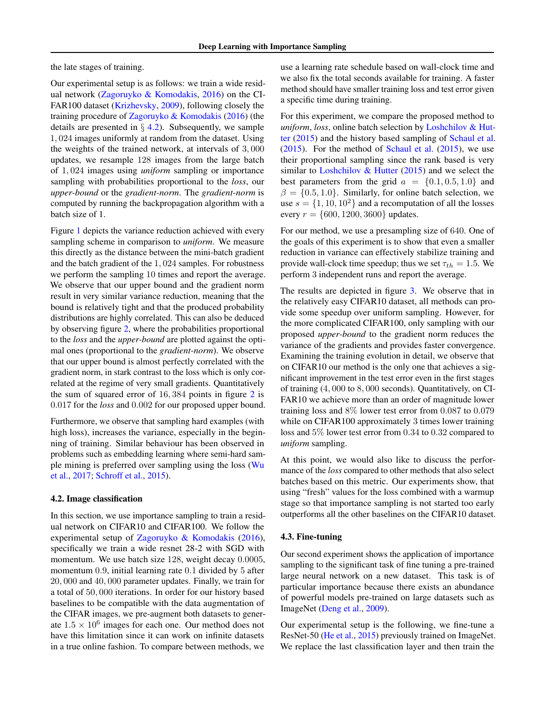the late stages of training.

Our experimental setup is as follows: we train a wide residual network [\(Zagoruyko & Komodakis,](#page-9-6) [2016\)](#page-9-6) on the CI-FAR100 dataset [\(Krizhevsky,](#page-8-17) [2009\)](#page-8-17), following closely the training procedure of [Zagoruyko & Komodakis](#page-9-6) [\(2016\)](#page-9-6) (the details are presented in  $\S$  [4.2\)](#page-5-0). Subsequently, we sample 1, 024 images uniformly at random from the dataset. Using the weights of the trained network, at intervals of 3, 000 updates, we resample 128 images from the large batch of 1, 024 images using *uniform* sampling or importance sampling with probabilities proportional to the *loss*, our *upper-bound* or the *gradient-norm*. The *gradient-norm* is computed by running the backpropagation algorithm with a batch size of 1.

Figure [1](#page-4-1) depicts the variance reduction achieved with every sampling scheme in comparison to *uniform*. We measure this directly as the distance between the mini-batch gradient and the batch gradient of the 1, 024 samples. For robustness we perform the sampling 10 times and report the average. We observe that our upper bound and the gradient norm result in very similar variance reduction, meaning that the bound is relatively tight and that the produced probability distributions are highly correlated. This can also be deduced by observing figure [2,](#page-4-2) where the probabilities proportional to the *loss* and the *upper-bound* are plotted against the optimal ones (proportional to the *gradient-norm*). We observe that our upper bound is almost perfectly correlated with the gradient norm, in stark contrast to the loss which is only correlated at the regime of very small gradients. Quantitatively the sum of squared error of  $16,384$  points in figure [2](#page-4-2) is 0.017 for the *loss* and 0.002 for our proposed upper bound.

Furthermore, we observe that sampling hard examples (with high loss), increases the variance, especially in the beginning of training. Similar behaviour has been observed in problems such as embedding learning where semi-hard sample mining is preferred over sampling using the loss [\(Wu](#page-9-2) [et al.,](#page-9-2) [2017;](#page-9-2) [Schroff et al.,](#page-9-1) [2015\)](#page-9-1).

#### <span id="page-5-0"></span>4.2. Image classification

In this section, we use importance sampling to train a residual network on CIFAR10 and CIFAR100. We follow the experimental setup of [Zagoruyko & Komodakis](#page-9-6) [\(2016\)](#page-9-6), specifically we train a wide resnet 28-2 with SGD with momentum. We use batch size 128, weight decay 0.0005, momentum 0.9, initial learning rate 0.1 divided by 5 after 20, 000 and 40, 000 parameter updates. Finally, we train for a total of 50, 000 iterations. In order for our history based baselines to be compatible with the data augmentation of the CIFAR images, we pre-augment both datasets to generate  $1.5 \times 10^6$  images for each one. Our method does not have this limitation since it can work on infinite datasets in a true online fashion. To compare between methods, we

use a learning rate schedule based on wall-clock time and we also fix the total seconds available for training. A faster method should have smaller training loss and test error given a specific time during training.

For this experiment, we compare the proposed method to *uniform*, *loss*, online batch selection by [Loshchilov & Hut](#page-8-5)[ter](#page-8-5) [\(2015\)](#page-8-5) and the history based sampling of [Schaul et al.](#page-9-4)  $(2015)$ . For the method of [Schaul et al.](#page-9-4)  $(2015)$ , we use their proportional sampling since the rank based is very similar to Loshchilov  $&$  Hutter [\(2015\)](#page-8-5) and we select the best parameters from the grid  $a = \{0.1, 0.5, 1.0\}$  and  $\beta = \{0.5, 1.0\}$ . Similarly, for online batch selection, we use  $s = \{1, 10, 10^2\}$  and a recomputation of all the losses every  $r = \{600, 1200, 3600\}$  updates.

For our method, we use a presampling size of 640. One of the goals of this experiment is to show that even a smaller reduction in variance can effectively stabilize training and provide wall-clock time speedup; thus we set  $\tau_{th} = 1.5$ . We perform 3 independent runs and report the average.

The results are depicted in figure [3.](#page-6-0) We observe that in the relatively easy CIFAR10 dataset, all methods can provide some speedup over uniform sampling. However, for the more complicated CIFAR100, only sampling with our proposed *upper-bound* to the gradient norm reduces the variance of the gradients and provides faster convergence. Examining the training evolution in detail, we observe that on CIFAR10 our method is the only one that achieves a significant improvement in the test error even in the first stages of training (4, 000 to 8, 000 seconds). Quantitatively, on CI-FAR10 we achieve more than an order of magnitude lower training loss and 8% lower test error from 0.087 to 0.079 while on CIFAR100 approximately 3 times lower training loss and 5% lower test error from 0.34 to 0.32 compared to *uniform* sampling.

At this point, we would also like to discuss the performance of the *loss* compared to other methods that also select batches based on this metric. Our experiments show, that using "fresh" values for the loss combined with a warmup stage so that importance sampling is not started too early outperforms all the other baselines on the CIFAR10 dataset.

## <span id="page-5-1"></span>4.3. Fine-tuning

Our second experiment shows the application of importance sampling to the significant task of fine tuning a pre-trained large neural network on a new dataset. This task is of particular importance because there exists an abundance of powerful models pre-trained on large datasets such as ImageNet [\(Deng et al.,](#page-8-18) [2009\)](#page-8-18).

Our experimental setup is the following, we fine-tune a ResNet-50 [\(He et al.,](#page-8-19) [2015\)](#page-8-19) previously trained on ImageNet. We replace the last classification layer and then train the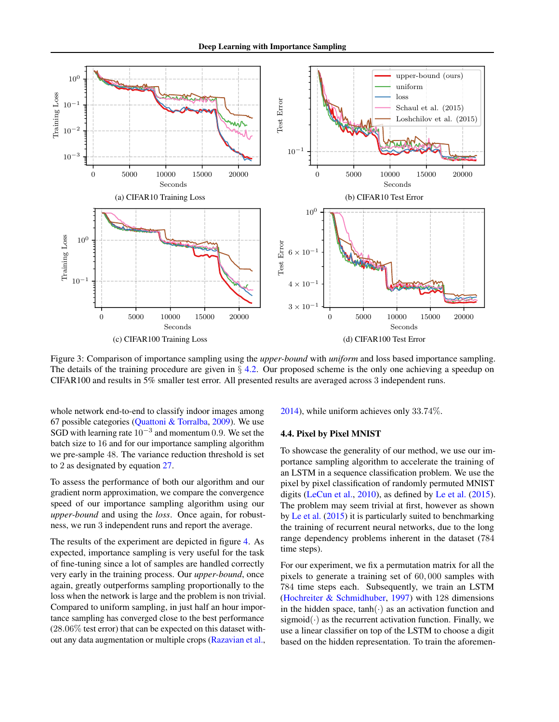<span id="page-6-0"></span>

Figure 3: Comparison of importance sampling using the *upper-bound* with *uniform* and loss based importance sampling. The details of the training procedure are given in  $\S 4.2$ . Our proposed scheme is the only one achieving a speedup on CIFAR100 and results in 5% smaller test error. All presented results are averaged across 3 independent runs.

whole network end-to-end to classify indoor images among 67 possible categories [\(Quattoni & Torralba,](#page-8-20) [2009\)](#page-8-20). We use SGD with learning rate  $10^{-3}$  and momentum 0.9. We set the batch size to 16 and for our importance sampling algorithm we pre-sample 48. The variance reduction threshold is set to 2 as designated by equation [27.](#page-3-3)

To assess the performance of both our algorithm and our gradient norm approximation, we compare the convergence speed of our importance sampling algorithm using our *upper-bound* and using the *loss*. Once again, for robustness, we run 3 independent runs and report the average.

The results of the experiment are depicted in figure [4.](#page-7-0) As expected, importance sampling is very useful for the task of fine-tuning since a lot of samples are handled correctly very early in the training process. Our *upper-bound*, once again, greatly outperforms sampling proportionally to the loss when the network is large and the problem is non trivial. Compared to uniform sampling, in just half an hour importance sampling has converged close to the best performance  $(28.06\%$  test error) that can be expected on this dataset without any data augmentation or multiple crops [\(Razavian et al.,](#page-8-21) [2014\)](#page-8-21), while uniform achieves only 33.74%.

#### <span id="page-6-1"></span>4.4. Pixel by Pixel MNIST

To showcase the generality of our method, we use our importance sampling algorithm to accelerate the training of an LSTM in a sequence classification problem. We use the pixel by pixel classification of randomly permuted MNIST digits [\(LeCun et al.,](#page-8-22) [2010\)](#page-8-22), as defined by [Le et al.](#page-8-23) [\(2015\)](#page-8-23). The problem may seem trivial at first, however as shown by [Le et al.](#page-8-23) [\(2015\)](#page-8-23) it is particularly suited to benchmarking the training of recurrent neural networks, due to the long range dependency problems inherent in the dataset (784 time steps).

For our experiment, we fix a permutation matrix for all the pixels to generate a training set of 60, 000 samples with 784 time steps each. Subsequently, we train an LSTM [\(Hochreiter & Schmidhuber,](#page-8-24) [1997\)](#page-8-24) with 128 dimensions in the hidden space,  $tanh(\cdot)$  as an activation function and sigmoid( $\cdot$ ) as the recurrent activation function. Finally, we use a linear classifier on top of the LSTM to choose a digit based on the hidden representation. To train the aforemen-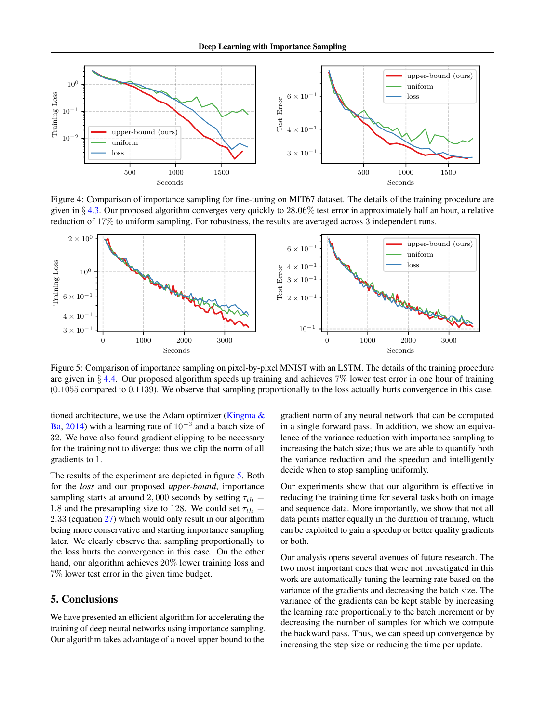<span id="page-7-0"></span>

Figure 4: Comparison of importance sampling for fine-tuning on MIT67 dataset. The details of the training procedure are given in  $\S$  [4.3.](#page-5-1) Our proposed algorithm converges very quickly to 28.06% test error in approximately half an hour, a relative reduction of 17% to uniform sampling. For robustness, the results are averaged across 3 independent runs.

<span id="page-7-1"></span>

Figure 5: Comparison of importance sampling on pixel-by-pixel MNIST with an LSTM. The details of the training procedure are given in  $\S$  [4.4.](#page-6-1) Our proposed algorithm speeds up training and achieves  $7\%$  lower test error in one hour of training (0.1055 compared to 0.1139). We observe that sampling proportionally to the loss actually hurts convergence in this case.

tioned architecture, we use the Adam optimizer [\(Kingma &](#page-8-25) [Ba,](#page-8-25) [2014\)](#page-8-25) with a learning rate of  $10^{-3}$  and a batch size of 32. We have also found gradient clipping to be necessary for the training not to diverge; thus we clip the norm of all gradients to 1.

The results of the experiment are depicted in figure [5.](#page-7-1) Both for the *loss* and our proposed *upper-bound*, importance sampling starts at around 2,000 seconds by setting  $\tau_{th}$  = 1.8 and the presampling size to 128. We could set  $\tau_{th}$  = 2.33 (equation [27\)](#page-3-3) which would only result in our algorithm being more conservative and starting importance sampling later. We clearly observe that sampling proportionally to the loss hurts the convergence in this case. On the other hand, our algorithm achieves 20% lower training loss and 7% lower test error in the given time budget.

# 5. Conclusions

We have presented an efficient algorithm for accelerating the training of deep neural networks using importance sampling. Our algorithm takes advantage of a novel upper bound to the

gradient norm of any neural network that can be computed in a single forward pass. In addition, we show an equivalence of the variance reduction with importance sampling to increasing the batch size; thus we are able to quantify both the variance reduction and the speedup and intelligently decide when to stop sampling uniformly.

Our experiments show that our algorithm is effective in reducing the training time for several tasks both on image and sequence data. More importantly, we show that not all data points matter equally in the duration of training, which can be exploited to gain a speedup or better quality gradients or both.

Our analysis opens several avenues of future research. The two most important ones that were not investigated in this work are automatically tuning the learning rate based on the variance of the gradients and decreasing the batch size. The variance of the gradients can be kept stable by increasing the learning rate proportionally to the batch increment or by decreasing the number of samples for which we compute the backward pass. Thus, we can speed up convergence by increasing the step size or reducing the time per update.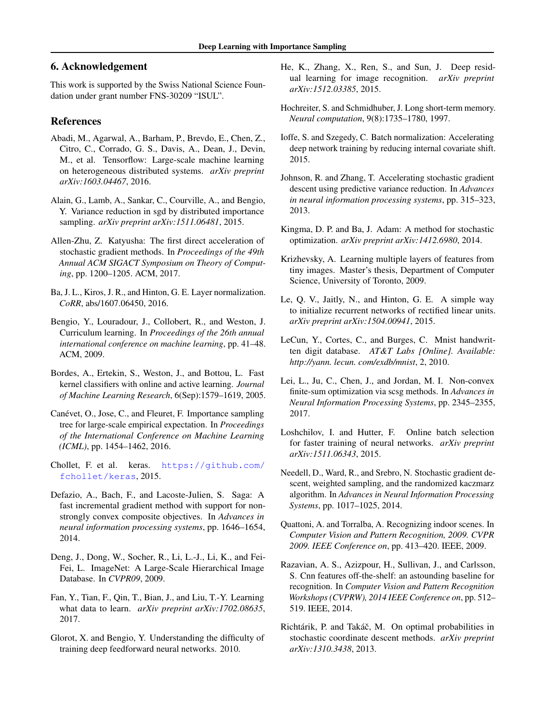# 6. Acknowledgement

This work is supported by the Swiss National Science Foundation under grant number FNS-30209 "ISUL".

## References

- <span id="page-8-16"></span>Abadi, M., Agarwal, A., Barham, P., Brevdo, E., Chen, Z., Citro, C., Corrado, G. S., Davis, A., Dean, J., Devin, M., et al. Tensorflow: Large-scale machine learning on heterogeneous distributed systems. *arXiv preprint arXiv:1603.04467*, 2016.
- <span id="page-8-4"></span>Alain, G., Lamb, A., Sankar, C., Courville, A., and Bengio, Y. Variance reduction in sgd by distributed importance sampling. *arXiv preprint arXiv:1511.06481*, 2015.
- <span id="page-8-10"></span>Allen-Zhu, Z. Katyusha: The first direct acceleration of stochastic gradient methods. In *Proceedings of the 49th Annual ACM SIGACT Symposium on Theory of Computing*, pp. 1200–1205. ACM, 2017.
- <span id="page-8-14"></span>Ba, J. L., Kiros, J. R., and Hinton, G. E. Layer normalization. *CoRR*, abs/1607.06450, 2016.
- <span id="page-8-6"></span>Bengio, Y., Louradour, J., Collobert, R., and Weston, J. Curriculum learning. In *Proceedings of the 26th annual international conference on machine learning*, pp. 41–48. ACM, 2009.
- <span id="page-8-0"></span>Bordes, A., Ertekin, S., Weston, J., and Bottou, L. Fast kernel classifiers with online and active learning. *Journal of Machine Learning Research*, 6(Sep):1579–1619, 2005.
- <span id="page-8-2"></span>Canévet, O., Jose, C., and Fleuret, F. Importance sampling tree for large-scale empirical expectation. In *Proceedings of the International Conference on Machine Learning (ICML)*, pp. 1454–1462, 2016.
- <span id="page-8-15"></span>Chollet, F. et al. keras. [https://github.com/](https://github.com/fchollet/keras) [fchollet/keras](https://github.com/fchollet/keras), 2015.
- <span id="page-8-9"></span>Defazio, A., Bach, F., and Lacoste-Julien, S. Saga: A fast incremental gradient method with support for nonstrongly convex composite objectives. In *Advances in neural information processing systems*, pp. 1646–1654, 2014.
- <span id="page-8-18"></span>Deng, J., Dong, W., Socher, R., Li, L.-J., Li, K., and Fei-Fei, L. ImageNet: A Large-Scale Hierarchical Image Database. In *CVPR09*, 2009.
- <span id="page-8-7"></span>Fan, Y., Tian, F., Qin, T., Bian, J., and Liu, T.-Y. Learning what data to learn. *arXiv preprint arXiv:1702.08635*, 2017.
- <span id="page-8-12"></span>Glorot, X. and Bengio, Y. Understanding the difficulty of training deep feedforward neural networks. 2010.
- <span id="page-8-19"></span>He, K., Zhang, X., Ren, S., and Sun, J. Deep residual learning for image recognition. *arXiv preprint arXiv:1512.03385*, 2015.
- <span id="page-8-24"></span>Hochreiter, S. and Schmidhuber, J. Long short-term memory. *Neural computation*, 9(8):1735–1780, 1997.
- <span id="page-8-13"></span>Ioffe, S. and Szegedy, C. Batch normalization: Accelerating deep network training by reducing internal covariate shift. 2015.
- <span id="page-8-8"></span>Johnson, R. and Zhang, T. Accelerating stochastic gradient descent using predictive variance reduction. In *Advances in neural information processing systems*, pp. 315–323, 2013.
- <span id="page-8-25"></span>Kingma, D. P. and Ba, J. Adam: A method for stochastic optimization. *arXiv preprint arXiv:1412.6980*, 2014.
- <span id="page-8-17"></span>Krizhevsky, A. Learning multiple layers of features from tiny images. Master's thesis, Department of Computer Science, University of Toronto, 2009.
- <span id="page-8-23"></span>Le, Q. V., Jaitly, N., and Hinton, G. E. A simple way to initialize recurrent networks of rectified linear units. *arXiv preprint arXiv:1504.00941*, 2015.
- <span id="page-8-22"></span>LeCun, Y., Cortes, C., and Burges, C. Mnist handwritten digit database. *AT&T Labs [Online]. Available: http://yann. lecun. com/exdb/mnist*, 2, 2010.
- <span id="page-8-11"></span>Lei, L., Ju, C., Chen, J., and Jordan, M. I. Non-convex finite-sum optimization via scsg methods. In *Advances in Neural Information Processing Systems*, pp. 2345–2355, 2017.
- <span id="page-8-5"></span>Loshchilov, I. and Hutter, F. Online batch selection for faster training of neural networks. *arXiv preprint arXiv:1511.06343*, 2015.
- <span id="page-8-1"></span>Needell, D., Ward, R., and Srebro, N. Stochastic gradient descent, weighted sampling, and the randomized kaczmarz algorithm. In *Advances in Neural Information Processing Systems*, pp. 1017–1025, 2014.
- <span id="page-8-20"></span>Quattoni, A. and Torralba, A. Recognizing indoor scenes. In *Computer Vision and Pattern Recognition, 2009. CVPR 2009. IEEE Conference on*, pp. 413–420. IEEE, 2009.
- <span id="page-8-21"></span>Razavian, A. S., Azizpour, H., Sullivan, J., and Carlsson, S. Cnn features off-the-shelf: an astounding baseline for recognition. In *Computer Vision and Pattern Recognition Workshops (CVPRW), 2014 IEEE Conference on*, pp. 512– 519. IEEE, 2014.
- <span id="page-8-3"></span>Richtárik, P. and Takáč, M. On optimal probabilities in stochastic coordinate descent methods. *arXiv preprint arXiv:1310.3438*, 2013.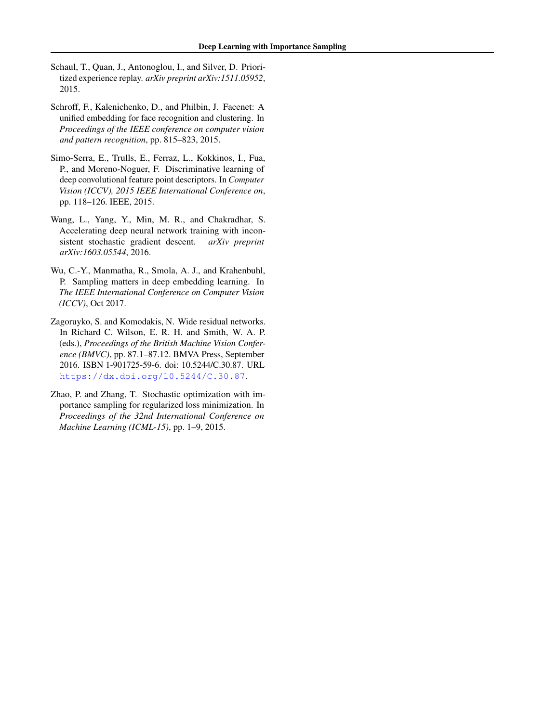- <span id="page-9-4"></span>Schaul, T., Quan, J., Antonoglou, I., and Silver, D. Prioritized experience replay. *arXiv preprint arXiv:1511.05952*, 2015.
- <span id="page-9-1"></span>Schroff, F., Kalenichenko, D., and Philbin, J. Facenet: A unified embedding for face recognition and clustering. In *Proceedings of the IEEE conference on computer vision and pattern recognition*, pp. 815–823, 2015.
- <span id="page-9-3"></span>Simo-Serra, E., Trulls, E., Ferraz, L., Kokkinos, I., Fua, P., and Moreno-Noguer, F. Discriminative learning of deep convolutional feature point descriptors. In *Computer Vision (ICCV), 2015 IEEE International Conference on*, pp. 118–126. IEEE, 2015.
- <span id="page-9-5"></span>Wang, L., Yang, Y., Min, M. R., and Chakradhar, S. Accelerating deep neural network training with inconsistent stochastic gradient descent. *arXiv preprint arXiv:1603.05544*, 2016.
- <span id="page-9-2"></span>Wu, C.-Y., Manmatha, R., Smola, A. J., and Krahenbuhl, P. Sampling matters in deep embedding learning. In *The IEEE International Conference on Computer Vision (ICCV)*, Oct 2017.
- <span id="page-9-6"></span>Zagoruyko, S. and Komodakis, N. Wide residual networks. In Richard C. Wilson, E. R. H. and Smith, W. A. P. (eds.), *Proceedings of the British Machine Vision Conference (BMVC)*, pp. 87.1–87.12. BMVA Press, September 2016. ISBN 1-901725-59-6. doi: 10.5244/C.30.87. URL <https://dx.doi.org/10.5244/C.30.87>.
- <span id="page-9-0"></span>Zhao, P. and Zhang, T. Stochastic optimization with importance sampling for regularized loss minimization. In *Proceedings of the 32nd International Conference on Machine Learning (ICML-15)*, pp. 1–9, 2015.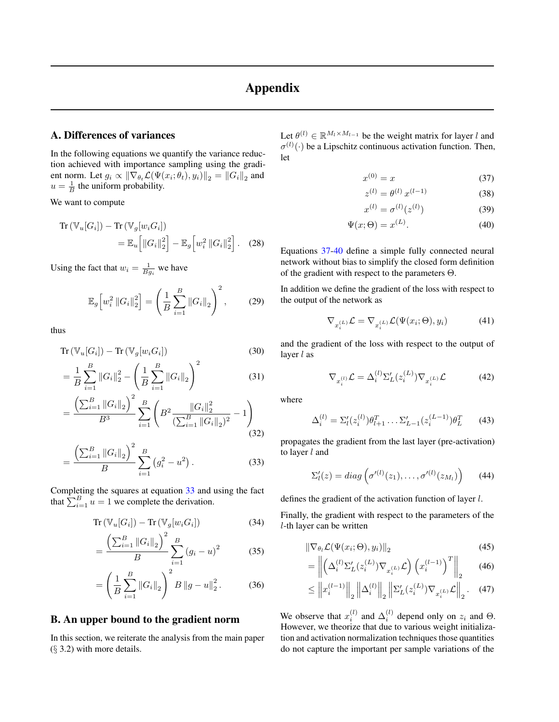# Appendix

# A. Differences of variances

In the following equations we quantify the variance reduction achieved with importance sampling using the gradient norm. Let  $g_i \propto \|\nabla_{\theta_t} \mathcal{L}(\Psi(x_i; \theta_t), y_i)\|_2 = \|G_i\|_2$  and  $u = \frac{1}{B}$  the uniform probability.

We want to compute

$$
\operatorname{Tr}\left(\mathbb{V}_{u}[G_{i}]\right) - \operatorname{Tr}\left(\mathbb{V}_{g}[w_{i}G_{i}]\right)
$$

$$
= \mathbb{E}_{u}\left[\left\|G_{i}\right\|_{2}^{2}\right] - \mathbb{E}_{g}\left[w_{i}^{2}\left\|G_{i}\right\|_{2}^{2}\right]. \quad (28)
$$

Using the fact that  $w_i = \frac{1}{Bg_i}$  we have

$$
\mathbb{E}_{g}\left[w_{i}^{2}\left\|G_{i}\right\|_{2}^{2}\right] = \left(\frac{1}{B}\sum_{i=1}^{B}\left\|G_{i}\right\|_{2}\right)^{2},\qquad(29)
$$

thus

$$
\operatorname{Tr}\left(\mathbb{V}_{u}[G_{i}]\right) - \operatorname{Tr}\left(\mathbb{V}_{g}[w_{i}G_{i}]\right) \tag{30}
$$

$$
= \frac{1}{B} \sum_{i=1}^{B} ||G_i||_2^2 - \left(\frac{1}{B} \sum_{i=1}^{B} ||G_i||_2\right)^2
$$
 (31)

$$
= \frac{\left(\sum_{i=1}^{B} \left\|G_{i}\right\|_{2}\right)^{2}}{B^{3}} \sum_{i=1}^{B} \left(B^{2} \frac{\left\|G_{i}\right\|_{2}^{2}}{\left(\sum_{i=1}^{B} \left\|G_{i}\right\|_{2}\right)^{2}} - 1\right)
$$
\n(32)

$$
= \frac{\left(\sum_{i=1}^{B} ||G_i||_2\right)^2}{B} \sum_{i=1}^{B} \left(g_i^2 - u^2\right). \tag{33}
$$

Completing the squares at equation [33](#page-10-0) and using the fact that  $\sum_{i=1}^{B} u = 1$  we complete the derivation.

$$
\operatorname{Tr}\left(\mathbb{V}_u[G_i]\right) - \operatorname{Tr}\left(\mathbb{V}_g[w_i G_i]\right) \tag{34}
$$

$$
= \frac{\left(\sum_{i=1}^{B} \|G_i\|_2\right)^2}{B} \sum_{i=1}^{B} (g_i - u)^2 \tag{35}
$$

$$
= \left(\frac{1}{B}\sum_{i=1}^{B} \|G_i\|_2\right)^2 B \|g - u\|_2^2. \tag{36}
$$

### B. An upper bound to the gradient norm

In this section, we reiterate the analysis from the main paper  $(\S$  3.2) with more details.

Let  $\theta^{(l)} \in \mathbb{R}^{M_l \times M_{l-1}}$  be the weight matrix for layer l and  $\sigma^{(l)}(\cdot)$  be a Lipschitz continuous activation function. Then, let

$$
x^{(0)} = x \tag{37}
$$

<span id="page-10-2"></span><span id="page-10-1"></span>
$$
z^{(l)} = \theta^{(l)} \, x^{(l-1)} \tag{38}
$$

$$
x^{(l)} = \sigma^{(l)}(z^{(l)})
$$
 (39)

$$
\Psi(x;\Theta) = x^{(L)}.\tag{40}
$$

Equations [37-](#page-10-1)[40](#page-10-2) define a simple fully connected neural network without bias to simplify the closed form definition of the gradient with respect to the parameters Θ.

In addition we define the gradient of the loss with respect to the output of the network as

$$
\nabla_{x_i^{(L)}} \mathcal{L} = \nabla_{x_i^{(L)}} \mathcal{L}(\Psi(x_i; \Theta), y_i)
$$
(41)

and the gradient of the loss with respect to the output of layer  $l$  as

$$
\nabla_{x_i^{(l)}} \mathcal{L} = \Delta_i^{(l)} \Sigma_L' (z_i^{(L)}) \nabla_{x_i^{(L)}} \mathcal{L}
$$
(42)

where

$$
\Delta_i^{(l)} = \Sigma_l'(z_i^{(l)})\theta_{l+1}^T \dots \Sigma_{L-1}'(z_i^{(L-1)})\theta_L^T
$$
 (43)

<span id="page-10-0"></span>propagates the gradient from the last layer (pre-activation) to layer l and

$$
\Sigma_l'(z) = diag\left(\sigma'^{(l)}(z_1), \ldots, \sigma'^{(l)}(z_{M_l})\right) \qquad (44)
$$

defines the gradient of the activation function of layer l.

Finally, the gradient with respect to the parameters of the l-th layer can be written

$$
\|\nabla_{\theta_l} \mathcal{L}(\Psi(x_i; \Theta), y_i)\|_2 \tag{45}
$$

$$
= \left\| \left( \Delta_i^{(l)} \Sigma_L' (z_i^{(L)}) \nabla_{x_i^{(L)}} \mathcal{L} \right) \left( x_i^{(l-1)} \right)^T \right\|_2 \tag{46}
$$

$$
\leq \left\|x_i^{(l-1)}\right\|_2 \left\|\Delta_i^{(l)}\right\|_2 \left\|\Sigma'_L(z_i^{(L)})\nabla_{x_i^{(L)}}\mathcal{L}\right\|_2. (47)
$$

We observe that  $x_i^{(l)}$  and  $\Delta_i^{(l)}$  depend only on  $z_i$  and  $\Theta$ . However, we theorize that due to various weight initialization and activation normalization techniques those quantities do not capture the important per sample variations of the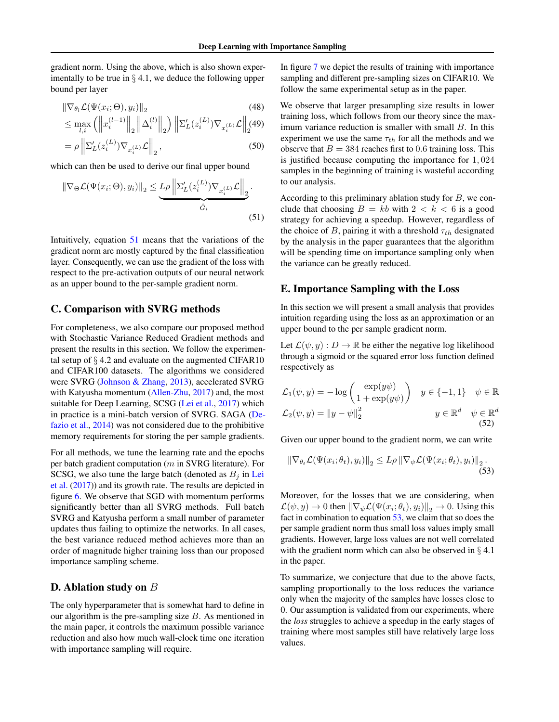gradient norm. Using the above, which is also shown experimentally to be true in  $\S 4.1$ , we deduce the following upper bound per layer

$$
\|\nabla_{\theta_l} \mathcal{L}(\Psi(x_i; \Theta), y_i)\|_2 \tag{48}
$$
\n
$$
\leq \max_{l,i} \left( \left\| x_i^{(l-1)} \right\|_2 \left\| \Delta_i^{(l)} \right\|_2 \right) \left\| \Sigma_L'(z_i^{(L)}) \nabla_{x_i^{(L)}} \mathcal{L} \right\|_2 \tag{49}
$$
\n
$$
= \rho \left\| \Sigma_L'(z_i^{(L)}) \nabla_{x_i^{(L)}} \mathcal{L} \right\|_2, \tag{50}
$$

which can then be used to derive our final upper bound

$$
\|\nabla_{\Theta}\mathcal{L}(\Psi(x_i;\Theta), y_i)\|_2 \leq \underbrace{L\rho \left\|\Sigma_L'(z_i^{(L)})\nabla_{x_i^{(L)}}\mathcal{L}\right\|_2}_{\hat{G}_i}.
$$
\n(51)

Intuitively, equation [51](#page-11-0) means that the variations of the gradient norm are mostly captured by the final classification layer. Consequently, we can use the gradient of the loss with respect to the pre-activation outputs of our neural network as an upper bound to the per-sample gradient norm.

#### C. Comparison with SVRG methods

For completeness, we also compare our proposed method with Stochastic Variance Reduced Gradient methods and present the results in this section. We follow the experimental setup of  $\S$  4.2 and evaluate on the augmented CIFAR10 and CIFAR100 datasets. The algorithms we considered were SVRG [\(Johnson & Zhang,](#page-8-8) [2013\)](#page-8-8), accelerated SVRG with Katyusha momentum [\(Allen-Zhu,](#page-8-10) [2017\)](#page-8-10) and, the most suitable for Deep Learning, SCSG [\(Lei et al.,](#page-8-11) [2017\)](#page-8-11) which in practice is a mini-batch version of SVRG. SAGA [\(De](#page-8-9)[fazio et al.,](#page-8-9) [2014\)](#page-8-9) was not considered due to the prohibitive memory requirements for storing the per sample gradients.

For all methods, we tune the learning rate and the epochs per batch gradient computation ( $m$  in SVRG literature). For SCSG, we also tune the large batch (denoted as  $B_j$  in [Lei](#page-8-11) [et al.](#page-8-11) [\(2017\)](#page-8-11)) and its growth rate. The results are depicted in figure [6.](#page-12-0) We observe that SGD with momentum performs significantly better than all SVRG methods. Full batch SVRG and Katyusha perform a small number of parameter updates thus failing to optimize the networks. In all cases, the best variance reduced method achieves more than an order of magnitude higher training loss than our proposed importance sampling scheme.

# D. Ablation study on B

The only hyperparameter that is somewhat hard to define in our algorithm is the pre-sampling size  $B$ . As mentioned in the main paper, it controls the maximum possible variance reduction and also how much wall-clock time one iteration with importance sampling will require.

In figure [7](#page-12-1) we depict the results of training with importance sampling and different pre-sampling sizes on CIFAR10. We follow the same experimental setup as in the paper.

We observe that larger presampling size results in lower training loss, which follows from our theory since the maximum variance reduction is smaller with small B. In this experiment we use the same  $\tau_{th}$  for all the methods and we observe that  $B = 384$  reaches first to 0.6 training loss. This is justified because computing the importance for 1, 024 samples in the beginning of training is wasteful according to our analysis.

<span id="page-11-0"></span>According to this preliminary ablation study for  $B$ , we conclude that choosing  $B = kb$  with  $2 < k < 6$  is a good strategy for achieving a speedup. However, regardless of the choice of B, pairing it with a threshold  $\tau_{th}$  designated by the analysis in the paper guarantees that the algorithm will be spending time on importance sampling only when the variance can be greatly reduced.

## E. Importance Sampling with the Loss

In this section we will present a small analysis that provides intuition regarding using the loss as an approximation or an upper bound to the per sample gradient norm.

Let  $\mathcal{L}(\psi, y) : D \to \mathbb{R}$  be either the negative log likelihood through a sigmoid or the squared error loss function defined respectively as

$$
\mathcal{L}_1(\psi, y) = -\log\left(\frac{\exp(y\psi)}{1 + \exp(y\psi)}\right) \quad y \in \{-1, 1\} \quad \psi \in \mathbb{R}
$$

$$
\mathcal{L}_2(\psi, y) = ||y - \psi||_2^2 \qquad y \in \mathbb{R}^d \quad \psi \in \mathbb{R}^d
$$
(52)

Given our upper bound to the gradient norm, we can write

<span id="page-11-1"></span>
$$
\|\nabla_{\theta_t} \mathcal{L}(\Psi(x_i; \theta_t), y_i)\|_2 \le L\rho \|\nabla_{\psi} \mathcal{L}(\Psi(x_i; \theta_t), y_i)\|_2.
$$
\n(53)

Moreover, for the losses that we are considering, when  $\mathcal{L}(\psi, y) \to 0$  then  $\|\nabla_{\psi} \mathcal{L}(\Psi(x_i; \theta_t), y_i)\|_2 \to 0$ . Using this fact in combination to equation [53,](#page-11-1) we claim that so does the per sample gradient norm thus small loss values imply small gradients. However, large loss values are not well correlated with the gradient norm which can also be observed in  $\S$  4.1 in the paper.

To summarize, we conjecture that due to the above facts, sampling proportionally to the loss reduces the variance only when the majority of the samples have losses close to 0. Our assumption is validated from our experiments, where the *loss* struggles to achieve a speedup in the early stages of training where most samples still have relatively large loss values.